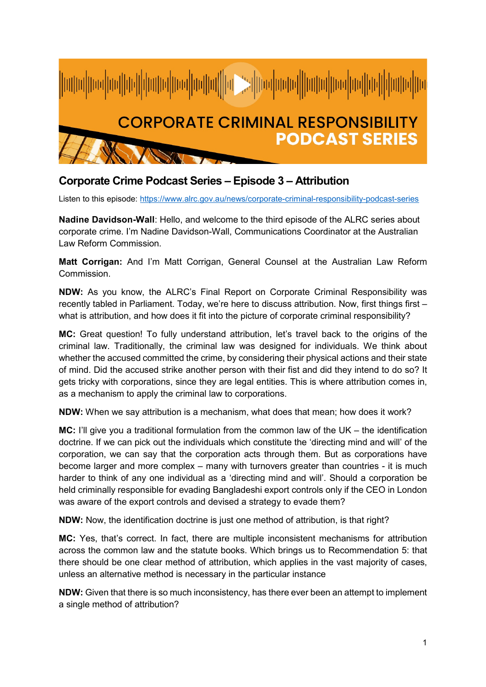

## **Corporate Crime Podcast Series – Episode 3 – Attribution**

Listen to this episode:<https://www.alrc.gov.au/news/corporate-criminal-responsibility-podcast-series>

**Nadine Davidson-Wall**: Hello, and welcome to the third episode of the ALRC series about corporate crime. I'm Nadine Davidson-Wall, Communications Coordinator at the Australian Law Reform Commission.

**Matt Corrigan:** And I'm Matt Corrigan, General Counsel at the Australian Law Reform **Commission** 

**NDW:** As you know, the ALRC's Final Report on Corporate Criminal Responsibility was recently tabled in Parliament. Today, we're here to discuss attribution. Now, first things first – what is attribution, and how does it fit into the picture of corporate criminal responsibility?

**MC:** Great question! To fully understand attribution, let's travel back to the origins of the criminal law. Traditionally, the criminal law was designed for individuals. We think about whether the accused committed the crime, by considering their physical actions and their state of mind. Did the accused strike another person with their fist and did they intend to do so? It gets tricky with corporations, since they are legal entities. This is where attribution comes in, as a mechanism to apply the criminal law to corporations.

**NDW:** When we say attribution is a mechanism, what does that mean; how does it work?

**MC:** I'll give you a traditional formulation from the common law of the UK – the identification doctrine. If we can pick out the individuals which constitute the 'directing mind and will' of the corporation, we can say that the corporation acts through them. But as corporations have become larger and more complex – many with turnovers greater than countries - it is much harder to think of any one individual as a 'directing mind and will'. Should a corporation be held criminally responsible for evading Bangladeshi export controls only if the CEO in London was aware of the export controls and devised a strategy to evade them?

**NDW:** Now, the identification doctrine is just one method of attribution, is that right?

**MC:** Yes, that's correct. In fact, there are multiple inconsistent mechanisms for attribution across the common law and the statute books. Which brings us to Recommendation 5: that there should be one clear method of attribution, which applies in the vast majority of cases, unless an alternative method is necessary in the particular instance

**NDW:** Given that there is so much inconsistency, has there ever been an attempt to implement a single method of attribution?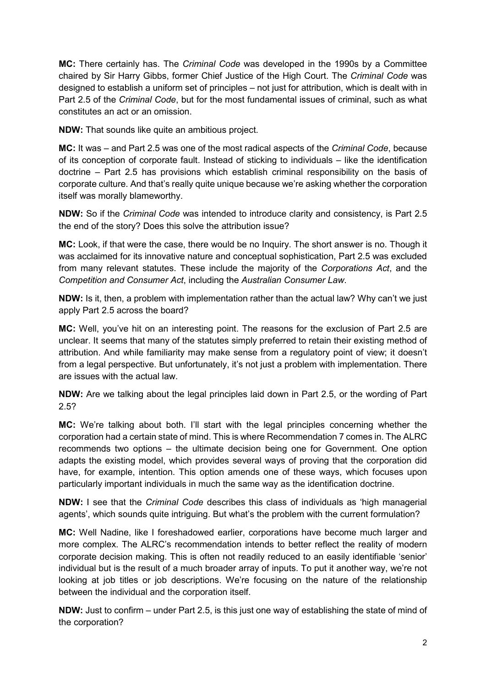**MC:** There certainly has. The *Criminal Code* was developed in the 1990s by a Committee chaired by Sir Harry Gibbs, former Chief Justice of the High Court. The *Criminal Code* was designed to establish a uniform set of principles – not just for attribution, which is dealt with in Part 2.5 of the *Criminal Code*, but for the most fundamental issues of criminal, such as what constitutes an act or an omission.

**NDW:** That sounds like quite an ambitious project.

**MC:** It was – and Part 2.5 was one of the most radical aspects of the *Criminal Code*, because of its conception of corporate fault. Instead of sticking to individuals – like the identification doctrine – Part 2.5 has provisions which establish criminal responsibility on the basis of corporate culture. And that's really quite unique because we're asking whether the corporation itself was morally blameworthy.

**NDW:** So if the *Criminal Code* was intended to introduce clarity and consistency, is Part 2.5 the end of the story? Does this solve the attribution issue?

**MC:** Look, if that were the case, there would be no Inquiry. The short answer is no. Though it was acclaimed for its innovative nature and conceptual sophistication, Part 2.5 was excluded from many relevant statutes. These include the majority of the *Corporations Act*, and the *Competition and Consumer Act*, including the *Australian Consumer Law*.

**NDW:** Is it, then, a problem with implementation rather than the actual law? Why can't we just apply Part 2.5 across the board?

**MC:** Well, you've hit on an interesting point. The reasons for the exclusion of Part 2.5 are unclear. It seems that many of the statutes simply preferred to retain their existing method of attribution. And while familiarity may make sense from a regulatory point of view; it doesn't from a legal perspective. But unfortunately, it's not just a problem with implementation. There are issues with the actual law.

**NDW:** Are we talking about the legal principles laid down in Part 2.5, or the wording of Part 2.5?

**MC:** We're talking about both. I'll start with the legal principles concerning whether the corporation had a certain state of mind. This is where Recommendation 7 comes in. The ALRC recommends two options – the ultimate decision being one for Government. One option adapts the existing model, which provides several ways of proving that the corporation did have, for example, intention. This option amends one of these ways, which focuses upon particularly important individuals in much the same way as the identification doctrine.

**NDW:** I see that the *Criminal Code* describes this class of individuals as 'high managerial agents', which sounds quite intriguing. But what's the problem with the current formulation?

**MC:** Well Nadine, like I foreshadowed earlier, corporations have become much larger and more complex. The ALRC's recommendation intends to better reflect the reality of modern corporate decision making. This is often not readily reduced to an easily identifiable 'senior' individual but is the result of a much broader array of inputs. To put it another way, we're not looking at job titles or job descriptions. We're focusing on the nature of the relationship between the individual and the corporation itself.

**NDW:** Just to confirm – under Part 2.5, is this just one way of establishing the state of mind of the corporation?